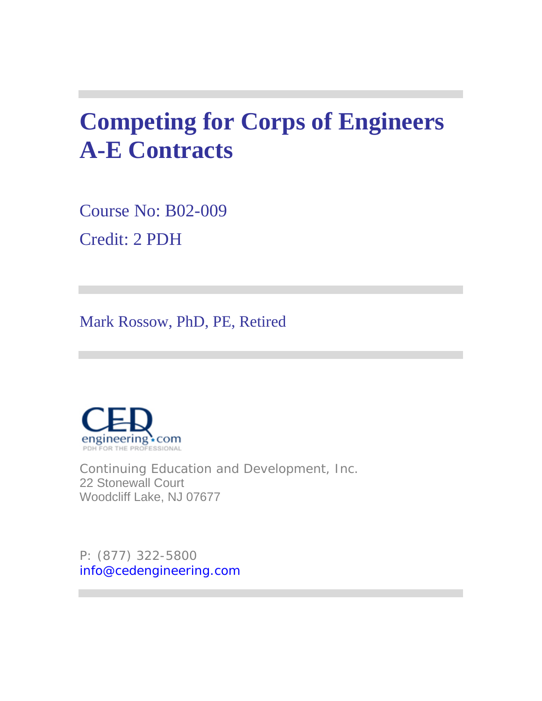# **Competing for Corps of Engineers A-E Contracts**

Course No: B02-009 Credit: 2 PDH

Mark Rossow, PhD, PE, Retired



Continuing Education and Development, Inc. 22 Stonewall Court Woodcliff Lake, NJ 07677

P: (877) 322-5800 info@cedengineering.com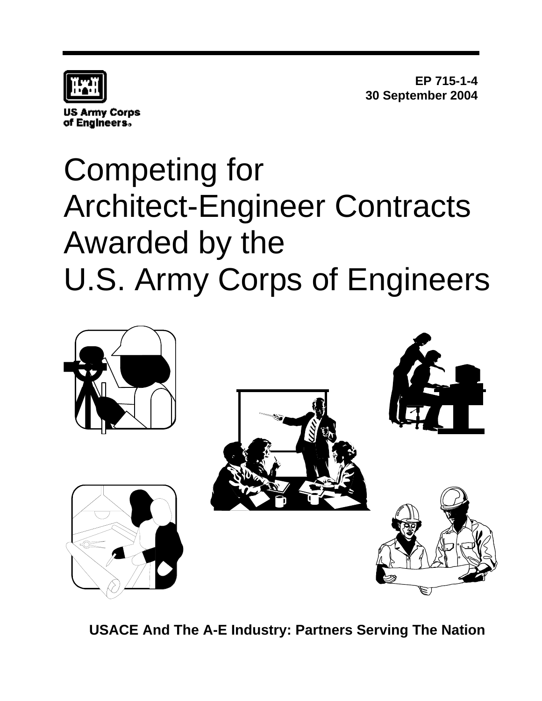

**US Army Corps** of Engineers.

**EP 715-1-4 30 September 2004**

# Competing for Architect-Engineer Contracts Awarded by the U.S. Army Corps of Engineers



**USACE And The A-E Industry: Partners Serving The Nation**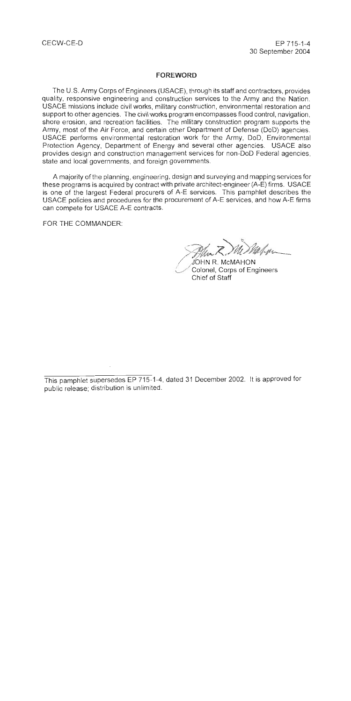#### **FOREWORD**

The U.S. Army Corps of Engineers (USACE), through its staff and contractors, provides quality, responsive engineering and construction services to the Army and the Nation. USACE missions include civil works, military construction, environmental restoration and support to other agencies. The civil works program encompasses flood control, navigation, shore erosion, and recreation facilities. The military construction program supports the Army, most of the Air Force, and certain other Department of Defense (DoD) agencies. USACE performs environmental restoration work for the Army, DoD. Environmental Protection Agency, Department of Energy and several other agencies. USACE also provides design and construction management services for non-DoD Federal agencies. state and local governments, and foreign governments.

A majority of the planning, engineering, design and surveying and mapping services for these programs is acquired by contract with private architect-engineer (A-E) firms. USACE is one of the largest Federal procurers of A-E services. This pamphlet describes the USACE policies and procedures for the procurement of A-E services, and how A-E firms can compete for USACE A-E contracts.

FOR THE COMMANDER:

JOHN R. McMAHON Colonel, Corps of Engineers Chief of Staff

This pamphlet supersedes EP 715-1-4, dated 31 December 2002. It is approved for public release; distribution is unlimited.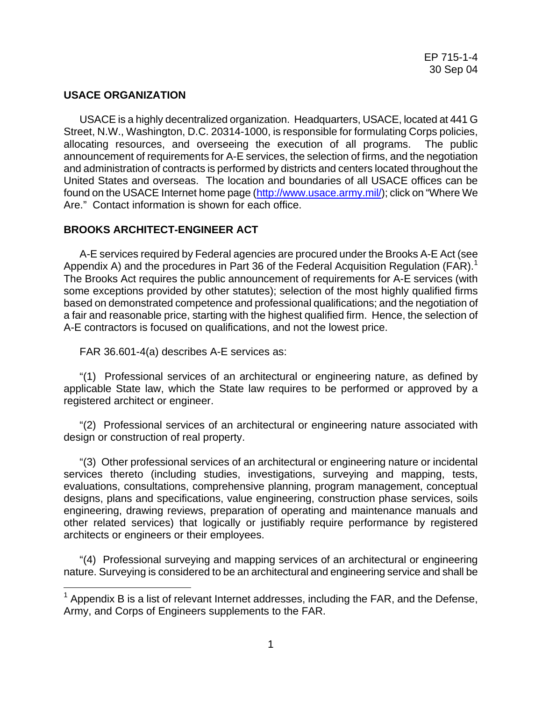# **USACE ORGANIZATION**

1

USACE is a highly decentralized organization. Headquarters, USACE, located at 441 G Street, N.W., Washington, D.C. 20314-1000, is responsible for formulating Corps policies, allocating resources, and overseeing the execution of all programs. The public announcement of requirements for A-E services, the selection of firms, and the negotiation and administration of contracts is performed by districts and centers located throughout the United States and overseas. The location and boundaries of all USACE offices can be found on the USACE Internet home page (<http://www.usace.army.mil/>); click on "Where We Are." Contact information is shown for each office.

# **BROOKS ARCHITECT-ENGINEER ACT**

A-E services required by Federal agencies are procured under the Brooks A-E Act (see Appendix A) and the procedures in Part 36 of the Federal Acquisition Regulation (FAR).<sup>[1](#page-3-0)</sup> The Brooks Act requires the public announcement of requirements for A-E services (with some exceptions provided by other statutes); selection of the most highly qualified firms based on demonstrated competence and professional qualifications; and the negotiation of a fair and reasonable price, starting with the highest qualified firm. Hence, the selection of A-E contractors is focused on qualifications, and not the lowest price.

FAR 36.601-4(a) describes A-E services as:

"(1) Professional services of an architectural or engineering nature, as defined by applicable State law, which the State law requires to be performed or approved by a registered architect or engineer.

"(2) Professional services of an architectural or engineering nature associated with design or construction of real property.

"(3) Other professional services of an architectural or engineering nature or incidental services thereto (including studies, investigations, surveying and mapping, tests, evaluations, consultations, comprehensive planning, program management, conceptual designs, plans and specifications, value engineering, construction phase services, soils engineering, drawing reviews, preparation of operating and maintenance manuals and other related services) that logically or justifiably require performance by registered architects or engineers or their employees.

 "(4) Professional surveying and mapping services of an architectural or engineering nature. Surveying is considered to be an architectural and engineering service and shall be

<span id="page-3-0"></span> $1$  Appendix B is a list of relevant Internet addresses, including the FAR, and the Defense, Army, and Corps of Engineers supplements to the FAR.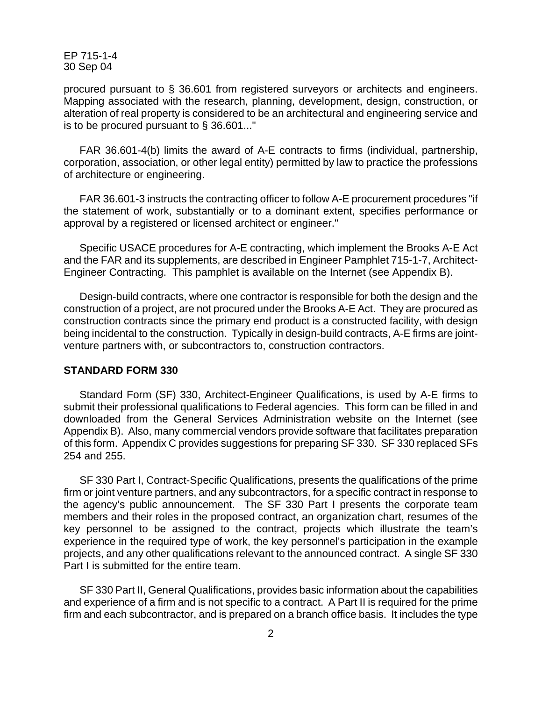procured pursuant to § 36.601 from registered surveyors or architects and engineers. Mapping associated with the research, planning, development, design, construction, or alteration of real property is considered to be an architectural and engineering service and is to be procured pursuant to § 36.601..."

FAR 36.601-4(b) limits the award of A-E contracts to firms (individual, partnership, corporation, association, or other legal entity) permitted by law to practice the professions of architecture or engineering.

FAR 36.601-3 instructs the contracting officer to follow A-E procurement procedures "if the statement of work, substantially or to a dominant extent, specifies performance or approval by a registered or licensed architect or engineer."

Specific USACE procedures for A-E contracting, which implement the Brooks A-E Act and the FAR and its supplements, are described in Engineer Pamphlet 715-1-7, Architect-Engineer Contracting. This pamphlet is available on the Internet (see Appendix B).

Design-build contracts, where one contractor is responsible for both the design and the construction of a project, are not procured under the Brooks A-E Act. They are procured as construction contracts since the primary end product is a constructed facility, with design being incidental to the construction. Typically in design-build contracts, A-E firms are jointventure partners with, or subcontractors to, construction contractors.

#### **STANDARD FORM 330**

Standard Form (SF) 330, Architect-Engineer Qualifications, is used by A-E firms to submit their professional qualifications to Federal agencies. This form can be filled in and downloaded from the General Services Administration website on the Internet (see Appendix B). Also, many commercial vendors provide software that facilitates preparation of this form. Appendix C provides suggestions for preparing SF 330. SF 330 replaced SFs 254 and 255.

 SF 330 Part I, Contract-Specific Qualifications, presents the qualifications of the prime firm or joint venture partners, and any subcontractors, for a specific contract in response to the agency's public announcement. The SF 330 Part I presents the corporate team members and their roles in the proposed contract, an organization chart, resumes of the key personnel to be assigned to the contract, projects which illustrate the team's experience in the required type of work, the key personnel's participation in the example projects, and any other qualifications relevant to the announced contract. A single SF 330 Part I is submitted for the entire team.

 SF 330 Part II, General Qualifications, provides basic information about the capabilities and experience of a firm and is not specific to a contract. A Part II is required for the prime firm and each subcontractor, and is prepared on a branch office basis. It includes the type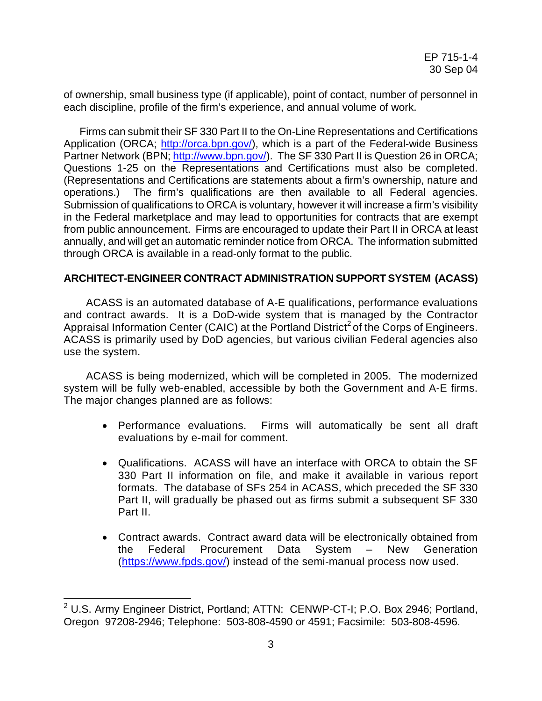of ownership, small business type (if applicable), point of contact, number of personnel in each discipline, profile of the firm's experience, and annual volume of work.

 Firms can submit their SF 330 Part II to the On-Line Representations and Certifications Application (ORCA; [http://orca.bpn.gov/\)](http://orca.bpn.gov/), which is a part of the Federal-wide Business Partner Network (BPN;<http://www.bpn.gov/>). The SF 330 Part II is Question 26 in ORCA; Questions 1-25 on the Representations and Certifications must also be completed. (Representations and Certifications are statements about a firm's ownership, nature and operations.) The firm's qualifications are then available to all Federal agencies. Submission of qualifications to ORCA is voluntary, however it will increase a firm's visibility in the Federal marketplace and may lead to opportunities for contracts that are exempt from public announcement. Firms are encouraged to update their Part II in ORCA at least annually, and will get an automatic reminder notice from ORCA. The information submitted through ORCA is available in a read-only format to the public.

# **ARCHITECT-ENGINEER CONTRACT ADMINISTRATION SUPPORT SYSTEM (ACASS)**

 ACASS is an automated database of A-E qualifications, performance evaluations and contract awards. It is a DoD-wide system that is managed by the Contractor Appraisal Information Center (CAIC) at the Portland District<sup>[2](#page-5-0)</sup> of the Corps of Engineers. ACASS is primarily used by DoD agencies, but various civilian Federal agencies also use the system.

 ACASS is being modernized, which will be completed in 2005. The modernized system will be fully web-enabled, accessible by both the Government and A-E firms. The major changes planned are as follows:

- Performance evaluations. Firms will automatically be sent all draft evaluations by e-mail for comment.
- Qualifications. ACASS will have an interface with ORCA to obtain the SF 330 Part II information on file, and make it available in various report formats. The database of SFs 254 in ACASS, which preceded the SF 330 Part II, will gradually be phased out as firms submit a subsequent SF 330 Part II.
- Contract awards. Contract award data will be electronically obtained from the Federal Procurement Data System – New Generation ([https://www.fpds.gov/\)](https://www.fpds.gov/) instead of the semi-manual process now used.

1

<span id="page-5-0"></span><sup>&</sup>lt;sup>2</sup> U.S. Army Engineer District, Portland; ATTN: CENWP-CT-I; P.O. Box 2946; Portland, Oregon 97208-2946; Telephone: 503-808-4590 or 4591; Facsimile: 503-808-4596.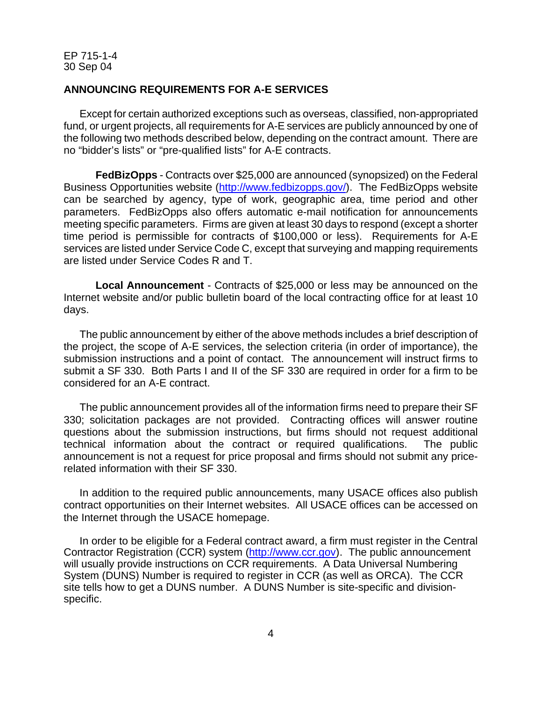#### **ANNOUNCING REQUIREMENTS FOR A-E SERVICES**

Except for certain authorized exceptions such as overseas, classified, non-appropriated fund, or urgent projects, all requirements for A-E services are publicly announced by one of the following two methods described below, depending on the contract amount. There are no "bidder's lists" or "pre-qualified lists" for A-E contracts.

**FedBizOpps** - Contracts over \$25,000 are announced (synopsized) on the Federal Business Opportunities website ([http://www.fedbizopps.gov/\)](http://www.fedbizopps.gov/). The FedBizOpps website can be searched by agency, type of work, geographic area, time period and other parameters. FedBizOpps also offers automatic e-mail notification for announcements meeting specific parameters. Firms are given at least 30 days to respond (except a shorter time period is permissible for contracts of \$100,000 or less). Requirements for A-E services are listed under Service Code C, except that surveying and mapping requirements are listed under Service Codes R and T.

**Local Announcement** - Contracts of \$25,000 or less may be announced on the Internet website and/or public bulletin board of the local contracting office for at least 10 days.

 The public announcement by either of the above methods includes a brief description of the project, the scope of A-E services, the selection criteria (in order of importance), the submission instructions and a point of contact. The announcement will instruct firms to submit a SF 330. Both Parts I and II of the SF 330 are required in order for a firm to be considered for an A-E contract.

The public announcement provides all of the information firms need to prepare their SF 330; solicitation packages are not provided. Contracting offices will answer routine questions about the submission instructions, but firms should not request additional technical information about the contract or required qualifications. The public announcement is not a request for price proposal and firms should not submit any pricerelated information with their SF 330.

 In addition to the required public announcements, many USACE offices also publish contract opportunities on their Internet websites. All USACE offices can be accessed on the Internet through the USACE homepage.

In order to be eligible for a Federal contract award, a firm must register in the Central Contractor Registration (CCR) system [\(http://www.ccr.gov\)](http://www.ccr.gov/). The public announcement will usually provide instructions on CCR requirements. A Data Universal Numbering System (DUNS) Number is required to register in CCR (as well as ORCA). The CCR site tells how to get a DUNS number. A DUNS Number is site-specific and divisionspecific.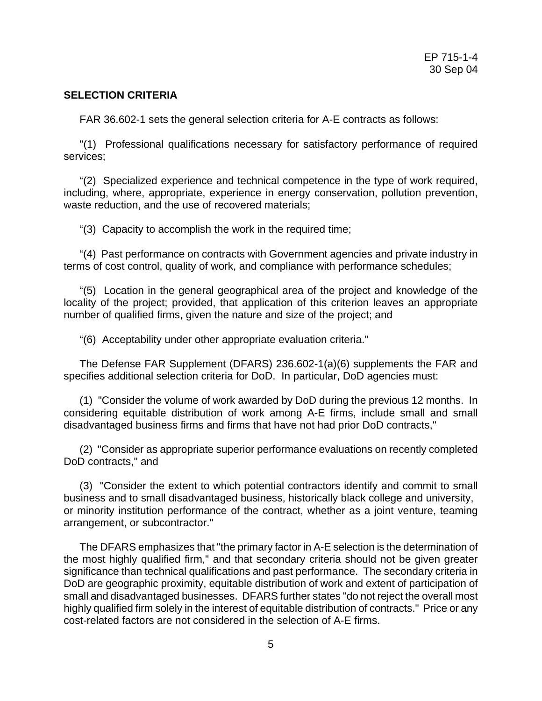# **SELECTION CRITERIA**

FAR 36.602-1 sets the general selection criteria for A-E contracts as follows:

"(1) Professional qualifications necessary for satisfactory performance of required services;

"(2) Specialized experience and technical competence in the type of work required, including, where, appropriate, experience in energy conservation, pollution prevention, waste reduction, and the use of recovered materials;

"(3) Capacity to accomplish the work in the required time;

"(4) Past performance on contracts with Government agencies and private industry in terms of cost control, quality of work, and compliance with performance schedules;

"(5) Location in the general geographical area of the project and knowledge of the locality of the project; provided, that application of this criterion leaves an appropriate number of qualified firms, given the nature and size of the project; and

"(6) Acceptability under other appropriate evaluation criteria."

The Defense FAR Supplement (DFARS) 236.602-1(a)(6) supplements the FAR and specifies additional selection criteria for DoD. In particular, DoD agencies must:

(1) "Consider the volume of work awarded by DoD during the previous 12 months. In considering equitable distribution of work among A-E firms, include small and small disadvantaged business firms and firms that have not had prior DoD contracts,"

(2) "Consider as appropriate superior performance evaluations on recently completed DoD contracts," and

(3) "Consider the extent to which potential contractors identify and commit to small business and to small disadvantaged business, historically black college and university, or minority institution performance of the contract, whether as a joint venture, teaming arrangement, or subcontractor."

The DFARS emphasizes that "the primary factor in A-E selection is the determination of the most highly qualified firm," and that secondary criteria should not be given greater significance than technical qualifications and past performance. The secondary criteria in DoD are geographic proximity, equitable distribution of work and extent of participation of small and disadvantaged businesses. DFARS further states "do not reject the overall most highly qualified firm solely in the interest of equitable distribution of contracts." Price or any cost-related factors are not considered in the selection of A-E firms.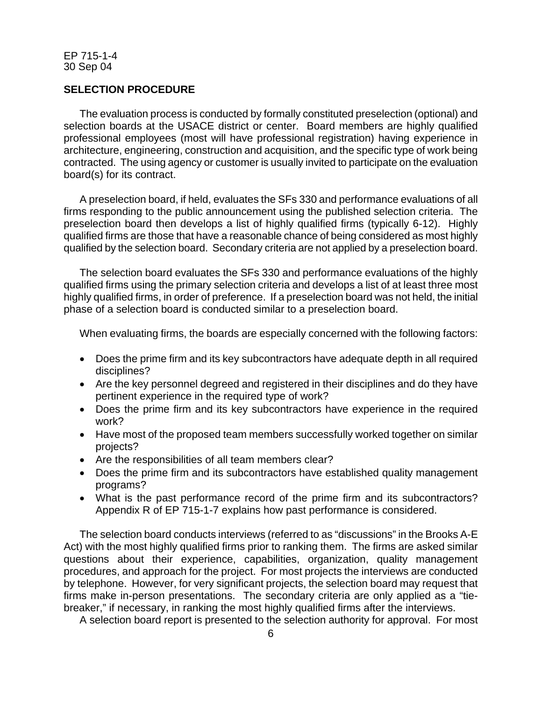#### **SELECTION PROCEDURE**

The evaluation process is conducted by formally constituted preselection (optional) and selection boards at the USACE district or center. Board members are highly qualified professional employees (most will have professional registration) having experience in architecture, engineering, construction and acquisition, and the specific type of work being contracted. The using agency or customer is usually invited to participate on the evaluation board(s) for its contract.

A preselection board, if held, evaluates the SFs 330 and performance evaluations of all firms responding to the public announcement using the published selection criteria. The preselection board then develops a list of highly qualified firms (typically 6-12). Highly qualified firms are those that have a reasonable chance of being considered as most highly qualified by the selection board. Secondary criteria are not applied by a preselection board.

The selection board evaluates the SFs 330 and performance evaluations of the highly qualified firms using the primary selection criteria and develops a list of at least three most highly qualified firms, in order of preference. If a preselection board was not held, the initial phase of a selection board is conducted similar to a preselection board.

When evaluating firms, the boards are especially concerned with the following factors:

- Does the prime firm and its key subcontractors have adequate depth in all required disciplines?
- Are the key personnel degreed and registered in their disciplines and do they have pertinent experience in the required type of work?
- Does the prime firm and its key subcontractors have experience in the required work?
- Have most of the proposed team members successfully worked together on similar projects?
- Are the responsibilities of all team members clear?
- Does the prime firm and its subcontractors have established quality management programs?
- What is the past performance record of the prime firm and its subcontractors? Appendix R of EP 715-1-7 explains how past performance is considered.

The selection board conducts interviews (referred to as "discussions" in the Brooks A-E Act) with the most highly qualified firms prior to ranking them. The firms are asked similar questions about their experience, capabilities, organization, quality management procedures, and approach for the project. For most projects the interviews are conducted by telephone. However, for very significant projects, the selection board may request that firms make in-person presentations. The secondary criteria are only applied as a "tiebreaker," if necessary, in ranking the most highly qualified firms after the interviews.

A selection board report is presented to the selection authority for approval. For most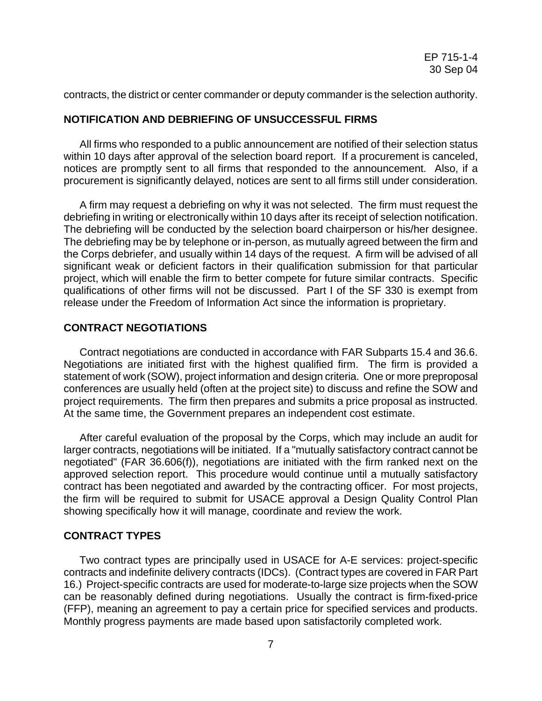contracts, the district or center commander or deputy commander is the selection authority.

#### **NOTIFICATION AND DEBRIEFING OF UNSUCCESSFUL FIRMS**

All firms who responded to a public announcement are notified of their selection status within 10 days after approval of the selection board report. If a procurement is canceled, notices are promptly sent to all firms that responded to the announcement. Also, if a procurement is significantly delayed, notices are sent to all firms still under consideration.

A firm may request a debriefing on why it was not selected. The firm must request the debriefing in writing or electronically within 10 days after its receipt of selection notification. The debriefing will be conducted by the selection board chairperson or his/her designee. The debriefing may be by telephone or in-person, as mutually agreed between the firm and the Corps debriefer, and usually within 14 days of the request. A firm will be advised of all significant weak or deficient factors in their qualification submission for that particular project, which will enable the firm to better compete for future similar contracts. Specific qualifications of other firms will not be discussed. Part I of the SF 330 is exempt from release under the Freedom of Information Act since the information is proprietary.

#### **CONTRACT NEGOTIATIONS**

Contract negotiations are conducted in accordance with FAR Subparts 15.4 and 36.6. Negotiations are initiated first with the highest qualified firm. The firm is provided a statement of work (SOW), project information and design criteria. One or more preproposal conferences are usually held (often at the project site) to discuss and refine the SOW and project requirements. The firm then prepares and submits a price proposal as instructed. At the same time, the Government prepares an independent cost estimate.

After careful evaluation of the proposal by the Corps, which may include an audit for larger contracts, negotiations will be initiated. If a "mutually satisfactory contract cannot be negotiated" (FAR 36.606(f)), negotiations are initiated with the firm ranked next on the approved selection report. This procedure would continue until a mutually satisfactory contract has been negotiated and awarded by the contracting officer. For most projects, the firm will be required to submit for USACE approval a Design Quality Control Plan showing specifically how it will manage, coordinate and review the work.

#### **CONTRACT TYPES**

Two contract types are principally used in USACE for A-E services: project-specific contracts and indefinite delivery contracts (IDCs). (Contract types are covered in FAR Part 16.) Project-specific contracts are used for moderate-to-large size projects when the SOW can be reasonably defined during negotiations. Usually the contract is firm-fixed-price (FFP), meaning an agreement to pay a certain price for specified services and products. Monthly progress payments are made based upon satisfactorily completed work.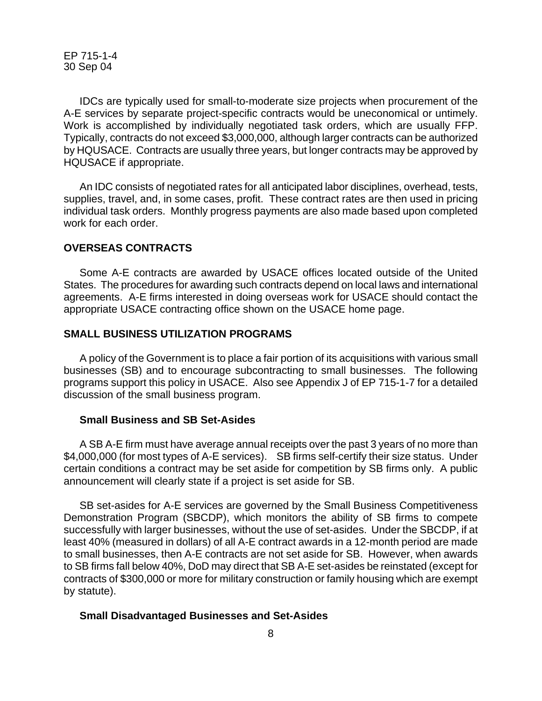IDCs are typically used for small-to-moderate size projects when procurement of the A-E services by separate project-specific contracts would be uneconomical or untimely. Work is accomplished by individually negotiated task orders, which are usually FFP. Typically, contracts do not exceed \$3,000,000, although larger contracts can be authorized by HQUSACE. Contracts are usually three years, but longer contracts may be approved by HQUSACE if appropriate.

 An IDC consists of negotiated rates for all anticipated labor disciplines, overhead, tests, supplies, travel, and, in some cases, profit. These contract rates are then used in pricing individual task orders. Monthly progress payments are also made based upon completed work for each order.

#### **OVERSEAS CONTRACTS**

Some A-E contracts are awarded by USACE offices located outside of the United States. The procedures for awarding such contracts depend on local laws and international agreements. A-E firms interested in doing overseas work for USACE should contact the appropriate USACE contracting office shown on the USACE home page.

#### **SMALL BUSINESS UTILIZATION PROGRAMS**

A policy of the Government is to place a fair portion of its acquisitions with various small businesses (SB) and to encourage subcontracting to small businesses. The following programs support this policy in USACE. Also see Appendix J of EP 715-1-7 for a detailed discussion of the small business program.

#### **Small Business and SB Set-Asides**

A SB A-E firm must have average annual receipts over the past 3 years of no more than \$4,000,000 (for most types of A-E services). SB firms self-certify their size status. Under certain conditions a contract may be set aside for competition by SB firms only. A public announcement will clearly state if a project is set aside for SB.

SB set-asides for A-E services are governed by the Small Business Competitiveness Demonstration Program (SBCDP), which monitors the ability of SB firms to compete successfully with larger businesses, without the use of set-asides. Under the SBCDP, if at least 40% (measured in dollars) of all A-E contract awards in a 12-month period are made to small businesses, then A-E contracts are not set aside for SB. However, when awards to SB firms fall below 40%, DoD may direct that SB A-E set-asides be reinstated (except for contracts of \$300,000 or more for military construction or family housing which are exempt by statute).

#### **Small Disadvantaged Businesses and Set-Asides**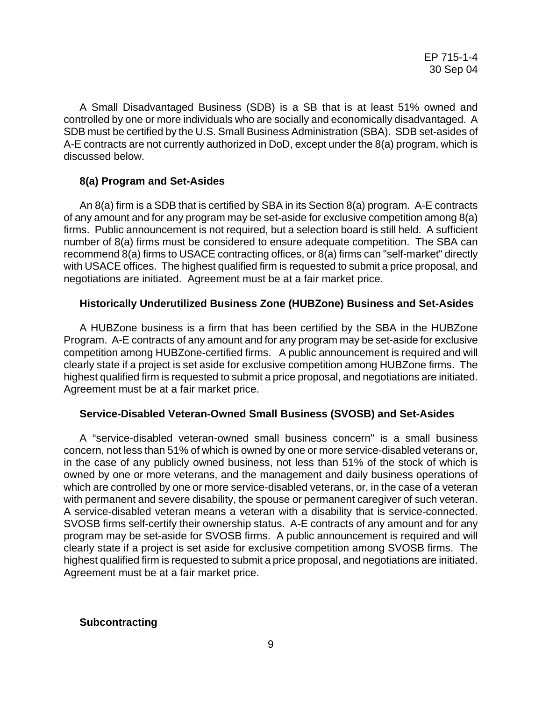A Small Disadvantaged Business (SDB) is a SB that is at least 51% owned and controlled by one or more individuals who are socially and economically disadvantaged. A SDB must be certified by the U.S. Small Business Administration (SBA). SDB set-asides of A-E contracts are not currently authorized in DoD, except under the 8(a) program, which is discussed below.

# **8(a) Program and Set-Asides**

An 8(a) firm is a SDB that is certified by SBA in its Section 8(a) program. A-E contracts of any amount and for any program may be set-aside for exclusive competition among 8(a) firms. Public announcement is not required, but a selection board is still held. A sufficient number of 8(a) firms must be considered to ensure adequate competition. The SBA can recommend 8(a) firms to USACE contracting offices, or 8(a) firms can "self-market" directly with USACE offices. The highest qualified firm is requested to submit a price proposal, and negotiations are initiated. Agreement must be at a fair market price.

# **Historically Underutilized Business Zone (HUBZone) Business and Set-Asides**

A HUBZone business is a firm that has been certified by the SBA in the HUBZone Program. A-E contracts of any amount and for any program may be set-aside for exclusive competition among HUBZone-certified firms. A public announcement is required and will clearly state if a project is set aside for exclusive competition among HUBZone firms. The highest qualified firm is requested to submit a price proposal, and negotiations are initiated. Agreement must be at a fair market price.

#### **Service-Disabled Veteran-Owned Small Business (SVOSB) and Set-Asides**

A "service-disabled veteran-owned small business concern" is a small business concern, not less than 51% of which is owned by one or more service-disabled veterans or, in the case of any publicly owned business, not less than 51% of the stock of which is owned by one or more veterans, and the management and daily business operations of which are controlled by one or more service-disabled veterans, or, in the case of a veteran with permanent and severe disability, the spouse or permanent caregiver of such veteran. A service-disabled veteran means a veteran with a disability that is service-connected. SVOSB firms self-certify their ownership status. A-E contracts of any amount and for any program may be set-aside for SVOSB firms. A public announcement is required and will clearly state if a project is set aside for exclusive competition among SVOSB firms. The highest qualified firm is requested to submit a price proposal, and negotiations are initiated. Agreement must be at a fair market price.

#### **Subcontracting**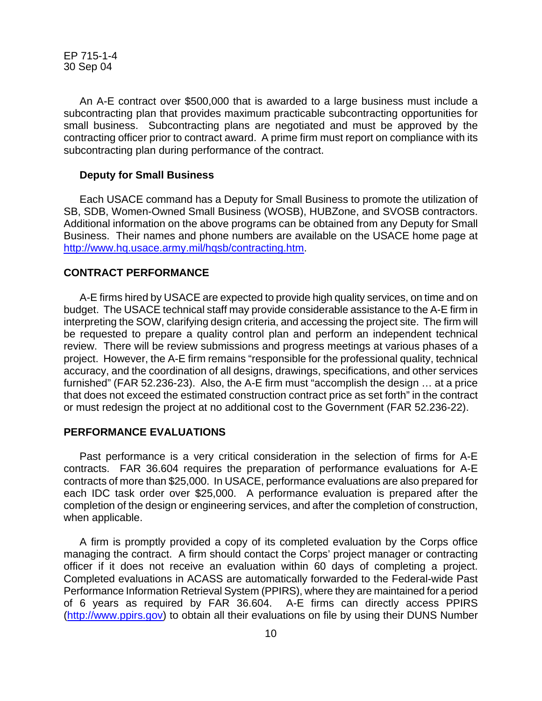An A-E contract over \$500,000 that is awarded to a large business must include a subcontracting plan that provides maximum practicable subcontracting opportunities for small business. Subcontracting plans are negotiated and must be approved by the contracting officer prior to contract award. A prime firm must report on compliance with its subcontracting plan during performance of the contract.

#### **Deputy for Small Business**

Each USACE command has a Deputy for Small Business to promote the utilization of SB, SDB, Women-Owned Small Business (WOSB), HUBZone, and SVOSB contractors. Additional information on the above programs can be obtained from any Deputy for Small Business. Their names and phone numbers are available on the USACE home page at [http://www.hq.usace.army.mil/hqsb/contracting.htm.](http://www.hq.usace.army.mil/hqsb/contracting.htm)

#### **CONTRACT PERFORMANCE**

 A-E firms hired by USACE are expected to provide high quality services, on time and on budget. The USACE technical staff may provide considerable assistance to the A-E firm in interpreting the SOW, clarifying design criteria, and accessing the project site. The firm will be requested to prepare a quality control plan and perform an independent technical review. There will be review submissions and progress meetings at various phases of a project. However, the A-E firm remains "responsible for the professional quality, technical accuracy, and the coordination of all designs, drawings, specifications, and other services furnished" (FAR 52.236-23). Also, the A-E firm must "accomplish the design … at a price that does not exceed the estimated construction contract price as set forth" in the contract or must redesign the project at no additional cost to the Government (FAR 52.236-22).

#### **PERFORMANCE EVALUATIONS**

Past performance is a very critical consideration in the selection of firms for A-E contracts. FAR 36.604 requires the preparation of performance evaluations for A-E contracts of more than \$25,000. In USACE, performance evaluations are also prepared for each IDC task order over \$25,000. A performance evaluation is prepared after the completion of the design or engineering services, and after the completion of construction, when applicable.

A firm is promptly provided a copy of its completed evaluation by the Corps office managing the contract. A firm should contact the Corps' project manager or contracting officer if it does not receive an evaluation within 60 days of completing a project. Completed evaluations in ACASS are automatically forwarded to the Federal-wide Past Performance Information Retrieval System (PPIRS), where they are maintained for a period of 6 years as required by FAR 36.604. A-E firms can directly access PPIRS ([http://www.ppirs.gov](http://www.ppirs.gov/)) to obtain all their evaluations on file by using their DUNS Number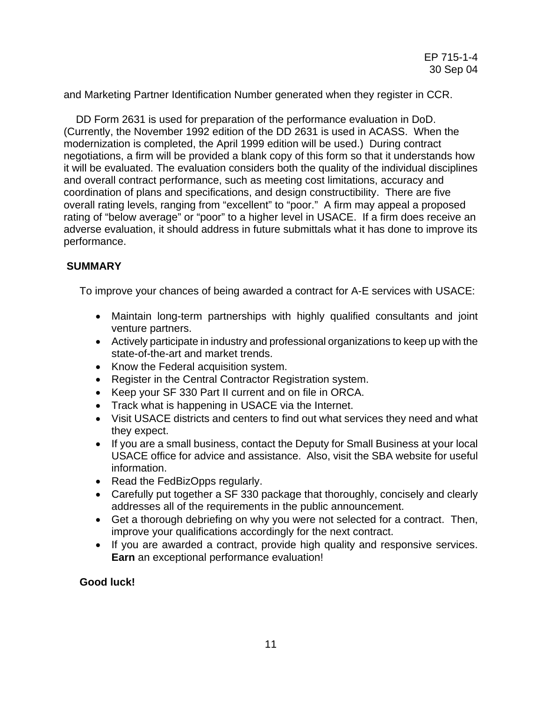and Marketing Partner Identification Number generated when they register in CCR.

 DD Form 2631 is used for preparation of the performance evaluation in DoD. (Currently, the November 1992 edition of the DD 2631 is used in ACASS. When the modernization is completed, the April 1999 edition will be used.) During contract negotiations, a firm will be provided a blank copy of this form so that it understands how it will be evaluated. The evaluation considers both the quality of the individual disciplines and overall contract performance, such as meeting cost limitations, accuracy and coordination of plans and specifications, and design constructibility. There are five overall rating levels, ranging from "excellent" to "poor." A firm may appeal a proposed rating of "below average" or "poor" to a higher level in USACE. If a firm does receive an adverse evaluation, it should address in future submittals what it has done to improve its performance.

# **SUMMARY**

To improve your chances of being awarded a contract for A-E services with USACE:

- Maintain long-term partnerships with highly qualified consultants and joint venture partners.
- Actively participate in industry and professional organizations to keep up with the state-of-the-art and market trends.
- Know the Federal acquisition system.
- Register in the Central Contractor Registration system.
- Keep your SF 330 Part II current and on file in ORCA.
- Track what is happening in USACE via the Internet.
- Visit USACE districts and centers to find out what services they need and what they expect.
- If you are a small business, contact the Deputy for Small Business at your local USACE office for advice and assistance. Also, visit the SBA website for useful information.
- Read the FedBizOpps regularly.
- Carefully put together a SF 330 package that thoroughly, concisely and clearly addresses all of the requirements in the public announcement.
- Get a thorough debriefing on why you were not selected for a contract. Then, improve your qualifications accordingly for the next contract.
- If you are awarded a contract, provide high quality and responsive services. **Earn** an exceptional performance evaluation!

# **Good luck!**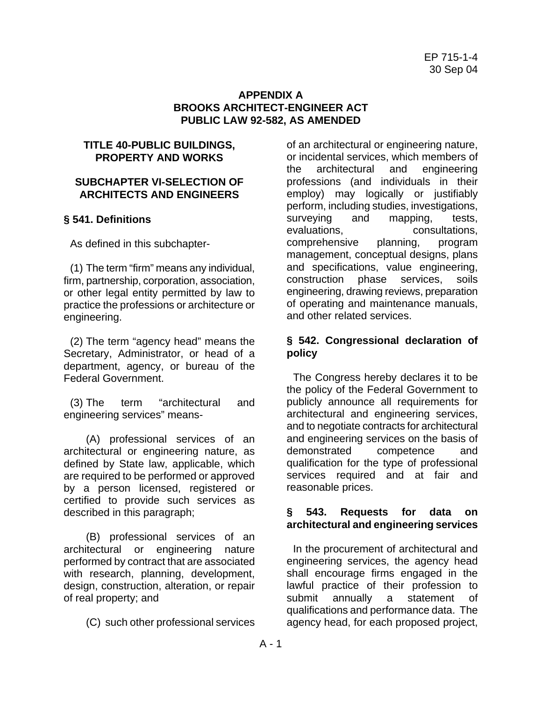# **APPENDIX A BROOKS ARCHITECT-ENGINEER ACT PUBLIC LAW 92-582, AS AMENDED**

# **TITLE 40-PUBLIC BUILDINGS, PROPERTY AND WORKS**

# **SUBCHAPTER VI-SELECTION OF ARCHITECTS AND ENGINEERS**

# **§ 541. Definitions**

As defined in this subchapter-

(1) The term "firm" means any individual, firm, partnership, corporation, association, or other legal entity permitted by law to practice the professions or architecture or engineering.

(2) The term "agency head" means the Secretary, Administrator, or head of a department, agency, or bureau of the Federal Government.

(3) The term "architectural and engineering services" means-

(A) professional services of an architectural or engineering nature, as defined by State law, applicable, which are required to be performed or approved by a person licensed, registered or certified to provide such services as described in this paragraph;

(B) professional services of an architectural or engineering nature performed by contract that are associated with research, planning, development, design, construction, alteration, or repair of real property; and

(C) such other professional services

of an architectural or engineering nature, or incidental services, which members of the architectural and engineering professions (and individuals in their employ) may logically or justifiably perform, including studies, investigations, surveying and mapping, tests,<br>evaluations, consultations. consultations. comprehensive planning, program management, conceptual designs, plans and specifications, value engineering, construction phase services, soils engineering, drawing reviews, preparation of operating and maintenance manuals, and other related services.

# **§ 542. Congressional declaration of policy**

The Congress hereby declares it to be the policy of the Federal Government to publicly announce all requirements for architectural and engineering services, and to negotiate contracts for architectural and engineering services on the basis of demonstrated competence and qualification for the type of professional services required and at fair and reasonable prices.

# **§ 543. Requests for data on architectural and engineering services**

In the procurement of architectural and engineering services, the agency head shall encourage firms engaged in the lawful practice of their profession to submit annually a statement of qualifications and performance data. The agency head, for each proposed project,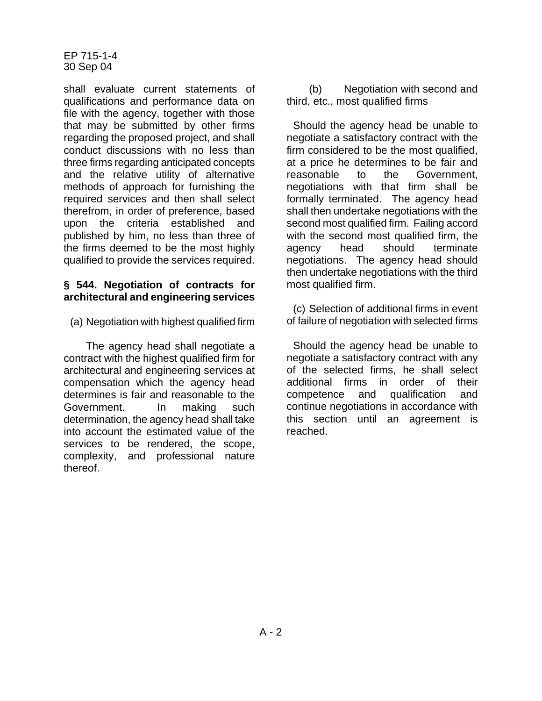shall evaluate current statements of qualifications and performance data on file with the agency, together with those that may be submitted by other firms regarding the proposed project, and shall conduct discussions with no less than three firms regarding anticipated concepts and the relative utility of alternative methods of approach for furnishing the required services and then shall select therefrom, in order of preference, based upon the criteria established and published by him, no less than three of the firms deemed to be the most highly qualified to provide the services required.

#### **§ 544. Negotiation of contracts for architectural and engineering services**

(a) Negotiation with highest qualified firm

The agency head shall negotiate a contract with the highest qualified firm for architectural and engineering services at compensation which the agency head determines is fair and reasonable to the Government. In making such determination, the agency head shall take into account the estimated value of the services to be rendered, the scope, complexity, and professional nature thereof.

(b) Negotiation with second and third, etc., most qualified firms

Should the agency head be unable to negotiate a satisfactory contract with the firm considered to be the most qualified, at a price he determines to be fair and reasonable to the Government, negotiations with that firm shall be formally terminated. The agency head shall then undertake negotiations with the second most qualified firm. Failing accord with the second most qualified firm, the agency head should terminate negotiations. The agency head should then undertake negotiations with the third most qualified firm.

(c) Selection of additional firms in event of failure of negotiation with selected firms

Should the agency head be unable to negotiate a satisfactory contract with any of the selected firms, he shall select additional firms in order of their competence and qualification and continue negotiations in accordance with this section until an agreement is reached.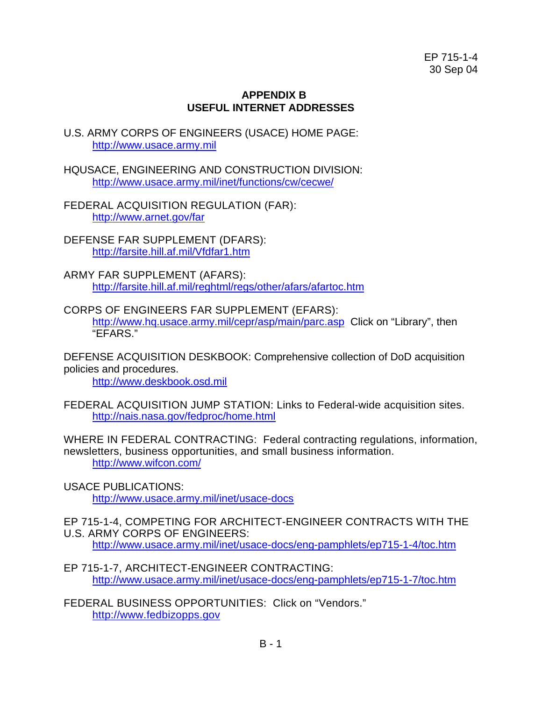# **APPENDIX B USEFUL INTERNET ADDRESSES**

- U.S. ARMY CORPS OF ENGINEERS (USACE) HOME PAGE: [http://www.usace.army.mil](http://www.usace.army.mil/)
- HQUSACE, ENGINEERING AND CONSTRUCTION DIVISION: <http://www.usace.army.mil/inet/functions/cw/cecwe/>
- FEDERAL ACQUISITION REGULATION (FAR): <http://www.arnet.gov/far>
- DEFENSE FAR SUPPLEMENT (DFARS): <http://farsite.hill.af.mil/Vfdfar1.htm>
- ARMY FAR SUPPLEMENT (AFARS): <http://farsite.hill.af.mil/reghtml/regs/other/afars/afartoc.htm>
- CORPS OF ENGINEERS FAR SUPPLEMENT (EFARS): <http://www.hq.usace.army.mil/cepr/asp/main/parc.asp> Click on "Library", then "EFARS."

DEFENSE ACQUISITION DESKBOOK: Comprehensive collection of DoD acquisition policies and procedures.

[http://www.deskbook.osd.mil](http://www.deskbook.osd.mil/)

FEDERAL ACQUISITION JUMP STATION: Links to Federal-wide acquisition sites. <http://nais.nasa.gov/fedproc/home.html>

WHERE IN FEDERAL CONTRACTING: Federal contracting regulations, information, newsletters, business opportunities, and small business information. <http://www.wifcon.com/>

- USACE PUBLICATIONS: <http://www.usace.army.mil/inet/usace-docs>
- EP 715-1-4, COMPETING FOR ARCHITECT-ENGINEER CONTRACTS WITH THE U.S. ARMY CORPS OF ENGINEERS:

<http://www.usace.army.mil/inet/usace-docs/eng-pamphlets/ep715-1-4/toc.htm>

- EP 715-1-7, ARCHITECT-ENGINEER CONTRACTING: <http://www.usace.army.mil/inet/usace-docs/eng-pamphlets/ep715-1-7/toc.htm>
- FEDERAL BUSINESS OPPORTUNITIES: Click on "Vendors." [http://www.fedbizopps.gov](http://www.fedbizopps.gov/)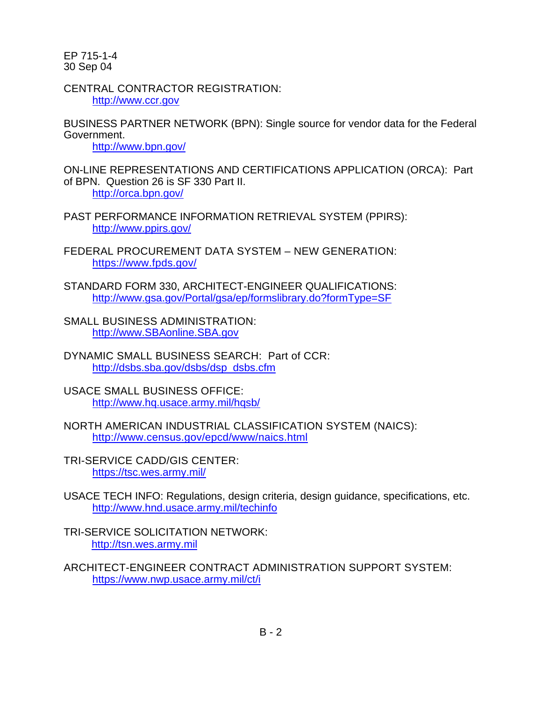CENTRAL CONTRACTOR REGISTRATION: [http://www.ccr.gov](http://www.ccr.gov/)

BUSINESS PARTNER NETWORK (BPN): Single source for vendor data for the Federal Government.

<http://www.bpn.gov/>

ON-LINE REPRESENTATIONS AND CERTIFICATIONS APPLICATION (ORCA): Part of BPN. Question 26 is SF 330 Part II. <http://orca.bpn.gov/>

PAST PERFORMANCE INFORMATION RETRIEVAL SYSTEM (PPIRS): <http://www.ppirs.gov/>

FEDERAL PROCUREMENT DATA SYSTEM – NEW GENERATION: <https://www.fpds.gov/>

STANDARD FORM 330, ARCHITECT-ENGINEER QUALIFICATIONS: <http://www.gsa.gov/Portal/gsa/ep/formslibrary.do?formType=SF>

SMALL BUSINESS ADMINISTRATION: [http://www.SBAonline.SBA.gov](http://www.sbaonline.sba.gov/) 

DYNAMIC SMALL BUSINESS SEARCH: Part of CCR: [http://dsbs.sba.gov/dsbs/dsp\\_dsbs.cfm](http://dsbs.sba.gov/dsbs/dsp_dsbs.cfm)

USACE SMALL BUSINESS OFFICE: <http://www.hq.usace.army.mil/hqsb/>

NORTH AMERICAN INDUSTRIAL CLASSIFICATION SYSTEM (NAICS): <http://www.census.gov/epcd/www/naics.html>

TRI-SERVICE CADD/GIS CENTER: <https://tsc.wes.army.mil/>

USACE TECH INFO: Regulations, design criteria, design guidance, specifications, etc. <http://www.hnd.usace.army.mil/techinfo>

TRI-SERVICE SOLICITATION NETWORK: [http://tsn.wes.army.mil](http://tsn.wes.army.mil/)

ARCHITECT-ENGINEER CONTRACT ADMINISTRATION SUPPORT SYSTEM: <https://www.nwp.usace.army.mil/ct/i>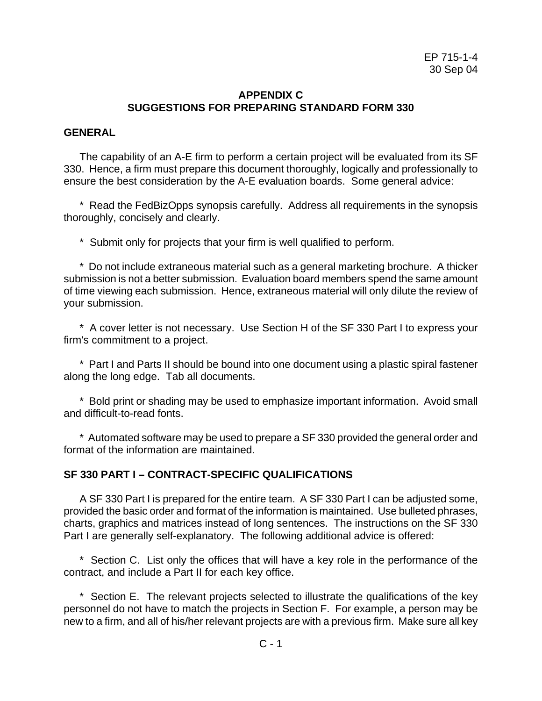# **APPENDIX C SUGGESTIONS FOR PREPARING STANDARD FORM 330**

#### **GENERAL**

The capability of an A-E firm to perform a certain project will be evaluated from its SF 330. Hence, a firm must prepare this document thoroughly, logically and professionally to ensure the best consideration by the A-E evaluation boards. Some general advice:

\* Read the FedBizOpps synopsis carefully. Address all requirements in the synopsis thoroughly, concisely and clearly.

\* Submit only for projects that your firm is well qualified to perform.

\* Do not include extraneous material such as a general marketing brochure. A thicker submission is not a better submission. Evaluation board members spend the same amount of time viewing each submission. Hence, extraneous material will only dilute the review of your submission.

\* A cover letter is not necessary. Use Section H of the SF 330 Part I to express your firm's commitment to a project.

\* Part I and Parts II should be bound into one document using a plastic spiral fastener along the long edge. Tab all documents.

\* Bold print or shading may be used to emphasize important information. Avoid small and difficult-to-read fonts.

\* Automated software may be used to prepare a SF 330 provided the general order and format of the information are maintained.

# **SF 330 PART I – CONTRACT-SPECIFIC QUALIFICATIONS**

A SF 330 Part I is prepared for the entire team. A SF 330 Part I can be adjusted some, provided the basic order and format of the information is maintained. Use bulleted phrases, charts, graphics and matrices instead of long sentences. The instructions on the SF 330 Part I are generally self-explanatory. The following additional advice is offered:

\* Section C. List only the offices that will have a key role in the performance of the contract, and include a Part II for each key office.

\* Section E. The relevant projects selected to illustrate the qualifications of the key personnel do not have to match the projects in Section F. For example, a person may be new to a firm, and all of his/her relevant projects are with a previous firm. Make sure all key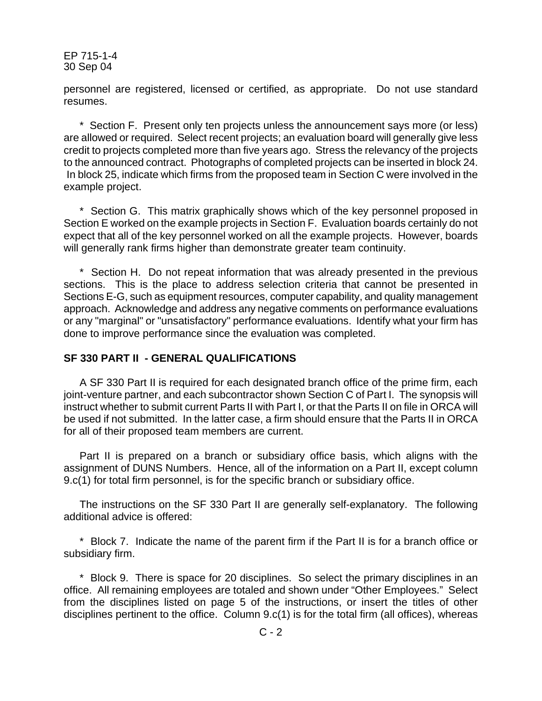personnel are registered, licensed or certified, as appropriate. Do not use standard resumes.

\* Section F. Present only ten projects unless the announcement says more (or less) are allowed or required. Select recent projects; an evaluation board will generally give less credit to projects completed more than five years ago. Stress the relevancy of the projects to the announced contract. Photographs of completed projects can be inserted in block 24. In block 25, indicate which firms from the proposed team in Section C were involved in the example project.

\* Section G. This matrix graphically shows which of the key personnel proposed in Section E worked on the example projects in Section F. Evaluation boards certainly do not expect that all of the key personnel worked on all the example projects. However, boards will generally rank firms higher than demonstrate greater team continuity.

\* Section H. Do not repeat information that was already presented in the previous sections. This is the place to address selection criteria that cannot be presented in Sections E-G, such as equipment resources, computer capability, and quality management approach. Acknowledge and address any negative comments on performance evaluations or any "marginal" or "unsatisfactory" performance evaluations. Identify what your firm has done to improve performance since the evaluation was completed.

# **SF 330 PART II - GENERAL QUALIFICATIONS**

A SF 330 Part II is required for each designated branch office of the prime firm, each joint-venture partner, and each subcontractor shown Section C of Part I. The synopsis will instruct whether to submit current Parts II with Part I, or that the Parts II on file in ORCA will be used if not submitted. In the latter case, a firm should ensure that the Parts II in ORCA for all of their proposed team members are current.

Part II is prepared on a branch or subsidiary office basis, which aligns with the assignment of DUNS Numbers. Hence, all of the information on a Part II, except column 9.c(1) for total firm personnel, is for the specific branch or subsidiary office.

The instructions on the SF 330 Part II are generally self-explanatory. The following additional advice is offered:

\* Block 7. Indicate the name of the parent firm if the Part II is for a branch office or subsidiary firm.

\* Block 9. There is space for 20 disciplines. So select the primary disciplines in an office. All remaining employees are totaled and shown under "Other Employees." Select from the disciplines listed on page 5 of the instructions, or insert the titles of other disciplines pertinent to the office. Column 9.c(1) is for the total firm (all offices), whereas